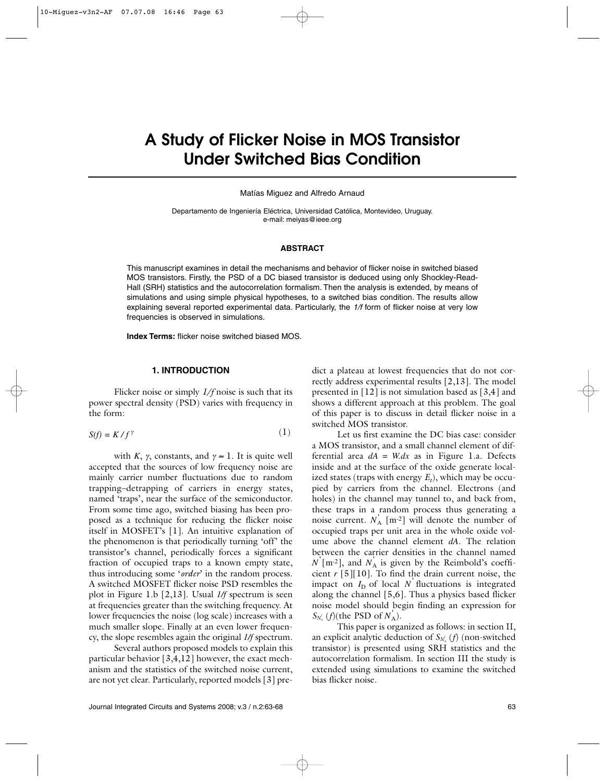# **A Study of Flicker Noise in MOS Transistor Under Switched Bias Condition**

Matías Miguez and Alfredo Arnaud

Departamento de Ingeniería Eléctrica, Universidad Católica, Montevideo, Uruguay. e-mail: meiyas@ieee.org

## **ABSTRACT**

This manuscript examines in detail the mechanisms and behavior of flicker noise in switched biased MOS transistors. Firstly, the PSD of a DC biased transistor is deduced using only Shockley-Read-Hall (SRH) statistics and the autocorrelation formalism. Then the analysis is extended, by means of simulations and using simple physical hypotheses, to a switched bias condition. The results allow explaining several reported experimental data. Particularly, the *1/f* form of flicker noise at very low frequencies is observed in simulations.

**Index Terms:** flicker noise switched biased MOS.

# **1. INTRODUCTION**

Flicker noise or simply *1/f* noise is such that its power spectral density (PSD) varies with frequency in the form:

$$
S(f) = K/f^{\gamma} \tag{1}
$$

with *K*,  $\gamma$ , constants, and  $\gamma \approx 1$ . It is quite well accepted that the sources of low frequency noise are mainly carrier number fluctuations due to random trapping–detrapping of carriers in energy states, named 'traps', near the surface of the semiconductor. From some time ago, switched biasing has been proposed as a technique for reducing the flicker noise itself in MOSFET's [1]. An intuitive explanation of the phenomenon is that periodically turning 'off' the transistor's channel, periodically forces a significant fraction of occupied traps to a known empty state, thus introducing some '*order*' in the random process. A switched MOSFET flicker noise PSD resembles the plot in Figure 1.b [2,13]. Usual *1/f* spectrum is seen at frequencies greater than the switching frequency. At lower frequencies the noise (log scale) increases with a much smaller slope. Finally at an even lower frequency, the slope resembles again the original *1/f* spectrum.

Several authors proposed models to explain this particular behavior [3,4,12] however, the exact mechanism and the statistics of the switched noise current, are not yet clear. Particularly, reported models [3] predict a plateau at lowest frequencies that do not correctly address experimental results [2,13]. The model presented in [12] is not simulation based as [3,4] and shows a different approach at this problem. The goal of this paper is to discuss in detail flicker noise in a switched MOS transistor.

Let us first examine the DC bias case: consider a MOS transistor, and a small channel element of differential area *dA* = *W.dx* as in Figure 1.a. Defects inside and at the surface of the oxide generate localized states (traps with energy  $E_t$ ), which may be occupied by carriers from the channel. Electrons (and holes) in the channel may tunnel to, and back from, these traps in a random process thus generating a noise current.  $N_A$  [m<sup>-2</sup>] will denote the number of occupied traps per unit area in the whole oxide volume above the channel element *dA*. The relation between the carrier densities in the channel named  $N^{'}[m^{-2}]$ , and  $N^{'}_{A}$  is given by the Reimbold's coefficient *r* [5][10]. To find the drain current noise, the impact on  $I_D$  of local  $N$  fluctuations is integrated along the channel [5,6]. Thus a physics based flicker noise model should begin finding an expression for  $S_{N_A}$  (*f*)(the PSD of  $N_A$ ).

This paper is organized as follows: in section II, an explicit analytic deduction of  $S_{N_{\rm A}}\left(f\right)$  (non-switched transistor) is presented using SRH statistics and the autocorrelation formalism. In section III the study is extended using simulations to examine the switched bias flicker noise.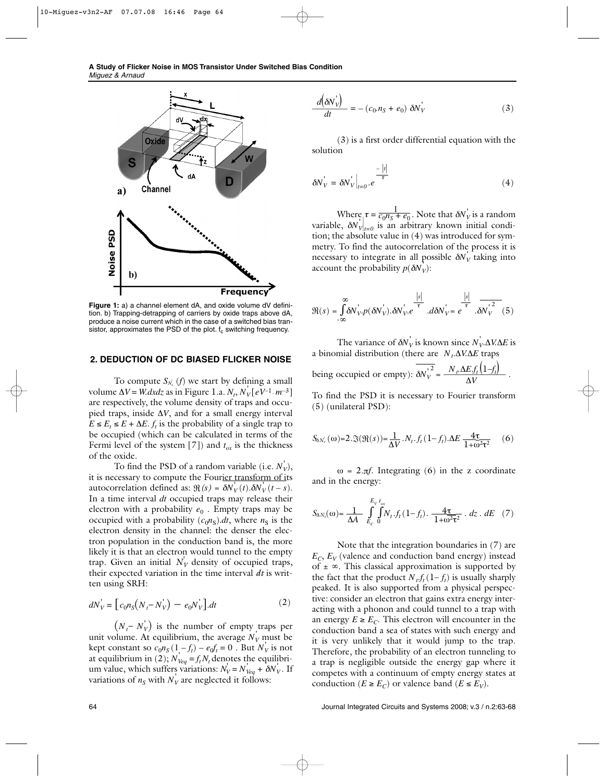

**Figure 1:** a) a channel element dA, and oxide volume dV definition. b) Trapping-detrapping of carriers by oxide traps above dA, produce a noise current which in the case of a switched bias transistor, approximates the PSD of the plot.  $f_c$  switching frequency.

## **2. DEDUCTION OF DC BIASED FLICKER NOISE**

To compute  $S_{N_{\lambda}}(f)$  we start by defining a small *v*olume  $\Delta V = W \, dx \, dz$  as in Figure 1.a.  $N_t$ ,  $N_V \left[ eV^{-1} \cdot m^{-3} \right]$ are respectively, the volume density of traps and occupied traps, inside ∆*V*, and for a small energy interval  $E \leq E_t \leq E + \Delta E$ . *f<sub>t</sub>* is the probability of a single trap to be occupied (which can be calculated in terms of the Fermi level of the system [7]) and  $t_{ox}$  is the thickness of the oxide.

To find the PSD of a random variable (i.e.  $N_V^{'})$ , it is necessary to compute the Fourier transform of its autocorrelation defined as:  $\Re(s) = \delta N_V'(t) \cdot \delta N_V'(t - s)$ . In a time interval *dt* occupied traps may release their electron with a probability  $e_0$ . Empty traps may be occupied with a probability  $(c_0n<sub>S</sub>)$ .*dt*, where  $n<sub>S</sub>$  is the electron density in the channel: the denser the electron population in the conduction band is, the more likely it is that an electron would tunnel to the empty trap. Given an initial  $N_V$  density of occupied traps, their expected variation in the time interval *dt* is written using SRH:

$$
dN_V = [c_0 n_S (N_t - N_V) - e_0 N_V].dt
$$
 (2)

 $(N_t - N_V)$  is the number of empty traps per unit volume. At equilibrium, the average  $N_V$  must be kept constant so  $c_0 n_S (1 - f_t) - e_0 f_t = 0$ . But  $N_V$  is not at equilibrium in (2);  $N'_{\text{V}eq} = f_t N_t$  denotes the equilibrium value, which suffers variations:  $N_V = N_{Veq} + \delta N_V$ . If variations of  $n<sub>S</sub>$  with  $N<sub>V</sub>$  are neglected it follows:

$$
\frac{d\left(\delta N_{V}^{'}\right)}{dt} = -\left(c_{0}.n_{S} + e_{0}\right)\,\delta N_{V}^{'}\tag{3}
$$

(3) is a first order differential equation with the solution

$$
\delta N_V^{\dagger} = \delta N_V^{\dagger} \Big|_{t=0} . e^{-\frac{|t|}{\tau}}
$$
 (4)

Where  $\tau = \frac{1}{c_0 n_S + e_0}$ . Note that  $\delta N_V$  is a random variable,  $\delta N_{V|_{t=0}}$  is an arbitrary known initial condition; the absolute value in (4) was introduced for symmetry. To find the autocorrelation of the process it is necessary to integrate in all possible  $\delta N_V^{'}$  taking into account the probability  $p(\delta N_V)$ :

$$
\Re(s) = \int_{-\infty}^{\infty} \delta N_{V}^{'} p(\delta N_{V}^{'}).\delta N_{V}^{'}. e^{-\frac{|s|}{\tau}} d\delta N_{V}^{'} = e^{-\frac{|s|}{\tau}} \cdot \delta N_{V}^{'2} (5)
$$

The variance of  $\delta N_V^{\dagger}$  is known since  $N_V^{\dagger} \Delta V \Delta E$  is a binomial distribution (there are *N<sub>t</sub>*.∆*V.∆E* traps being occupied or empty):  $\delta N_V^{1^2} = \frac{N_r \Delta E f_t(1-f_t)}{\Delta V}$  $\frac{2}{\Delta V} = \frac{N_r \Delta E f_t (1 - f_t)}{\Delta V}$ 

To find the PSD it is necessary to Fourier transform (5) (unilateral PSD):

$$
S_{\delta N_v}(\omega) = 2.3(\Re(s)) = \frac{1}{\Delta V} . N_t . f_t (1 - f_t) . \Delta E \frac{4\tau}{1 + \omega^2 \tau^2} \tag{6}
$$

 $ω = 2<sub>π</sub>f$ . Integrating (6) in the z coordinate and in the energy:

$$
S_{\Delta N_{\lambda}}(\omega) = \frac{1}{\Delta A} \int_{E_c}^{E_V t_{ox}} \int_{0}^{t_{ox}} N_t \cdot f_t (1 - f_t) \cdot \frac{4\tau}{1 + \omega^2 \tau^2} \cdot dz \cdot dE \quad (7)
$$

Note that the integration boundaries in (7) are  $E_C$ ,  $E_V$  (valence and conduction band energy) instead of  $\pm \infty$ . This classical approximation is supported by the fact that the product  $N_t f_t (1-f_t)$  is usually sharply peaked. It is also supported from a physical perspective: consider an electron that gains extra energy interacting with a phonon and could tunnel to a trap with an energy  $E \geq E_C$ . This electron will encounter in the conduction band a sea of states with such energy and it is very unlikely that it would jump to the trap. Therefore, the probability of an electron tunneling to a trap is negligible outside the energy gap where it competes with a continuum of empty energy states at conduction ( $E \ge E_C$ ) or valence band ( $E \le E_V$ ).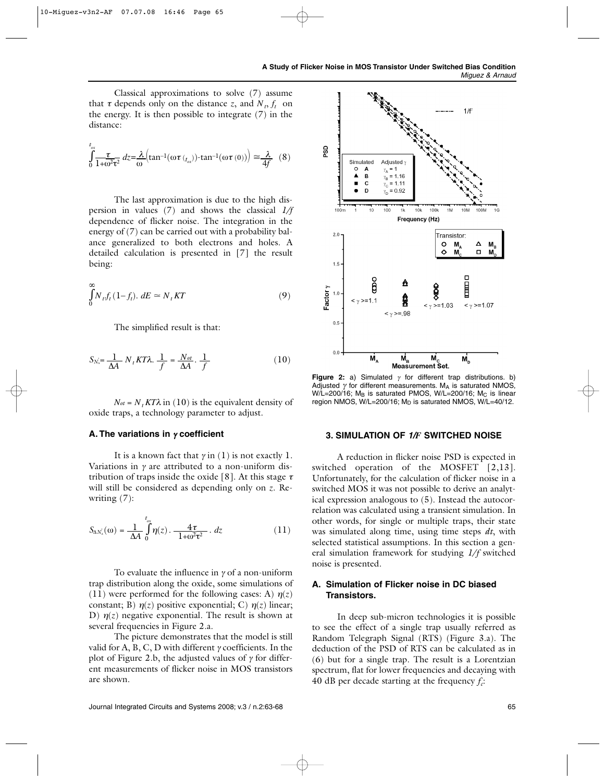Classical approximations to solve (7) assume that  $\tau$  depends only on the distance *z*, and  $N_t$ ,  $f_t$  on the energy. It is then possible to integrate (7) in the distance:

$$
\int_{0}^{t_{\alpha x}} \frac{\tau}{1 + \omega^2 \tau^2} dz = \frac{\lambda}{\omega} \Big( \tan^{-1}(\omega \tau_{t_{\alpha x}}) \cdot \tan^{-1}(\omega \tau(0)) \Big) \approx \frac{\lambda}{4f} \quad (8)
$$

The last approximation is due to the high dispersion in values (7) and shows the classical *1/f* dependence of flicker noise. The integration in the energy of (7) can be carried out with a probability balance generalized to both electrons and holes. A detailed calculation is presented in [7] the result being:

$$
\int_{0}^{\infty} N_{t} f_{t} (1 - f_{t}). \, dE \simeq N_{t} KT \tag{9}
$$

The simplified result is that:

$$
S_{N_x} = \frac{1}{\Delta A} N_t K T \lambda. \frac{1}{f} = \frac{N_{ot}}{\Delta A} \cdot \frac{1}{f}
$$
 (10)

 $N_{\text{ot}} = N_{\text{t}} K T \lambda$  in (10) is the equivalent density of oxide traps, a technology parameter to adjust.

## **A. The variations in** <sup>γ</sup> **coefficient**

It is a known fact that  $\gamma$  in (1) is not exactly 1. Variations in  $\gamma$  are attributed to a non-uniform distribution of traps inside the oxide [8]. At this stage  $\tau$ will still be considered as depending only on *z*. Rewriting (7):

$$
S_{\Delta N_{\lambda}}(\omega) = \frac{1}{\Delta A} \int_{0}^{t_{\alpha}} \eta(z) \cdot \frac{4\tau}{1 + \omega^2 \tau^2} \cdot dz \tag{11}
$$

To evaluate the influence in  $\gamma$  of a non-uniform trap distribution along the oxide, some simulations of (11) were performed for the following cases: A)  $\eta(z)$ constant; B)  $\eta(z)$  positive exponential; C)  $\eta(z)$  linear; D)  $\eta(z)$  negative exponential. The result is shown at several frequencies in Figure 2.a.

The picture demonstrates that the model is still valid for A, B, C, D with different  $\gamma$  coefficients. In the plot of Figure 2.b, the adjusted values of  $\gamma$  for different measurements of flicker noise in MOS transistors are shown.



**Figure 2:** a) Simulated  $\gamma$  for different trap distributions. b) Adjusted  $\gamma$  for different measurements. MA is saturated NMOS, W/L=200/16; MB is saturated PMOS, W/L=200/16; Mc is linear region NMOS, W/L=200/16; M<sub>D</sub> is saturated NMOS, W/L=40/12.

## **3. SIMULATION OF** *1/F* **SWITCHED NOISE**

A reduction in flicker noise PSD is expected in switched operation of the MOSFET [2,13]. Unfortunately, for the calculation of flicker noise in a switched MOS it was not possible to derive an analytical expression analogous to (5). Instead the autocorrelation was calculated using a transient simulation. In other words, for single or multiple traps, their state was simulated along time, using time steps *dt*, with selected statistical assumptions. In this section a general simulation framework for studying *1/f* switched noise is presented.

# **A. Simulation of Flicker noise in DC biased Transistors.**

In deep sub-micron technologies it is possible to see the effect of a single trap usually referred as Random Telegraph Signal (RTS) (Figure 3.a). The deduction of the PSD of RTS can be calculated as in (6) but for a single trap. The result is a Lorentzian spectrum, flat for lower frequencies and decaying with 40 dB per decade starting at the frequency  $f_c$ :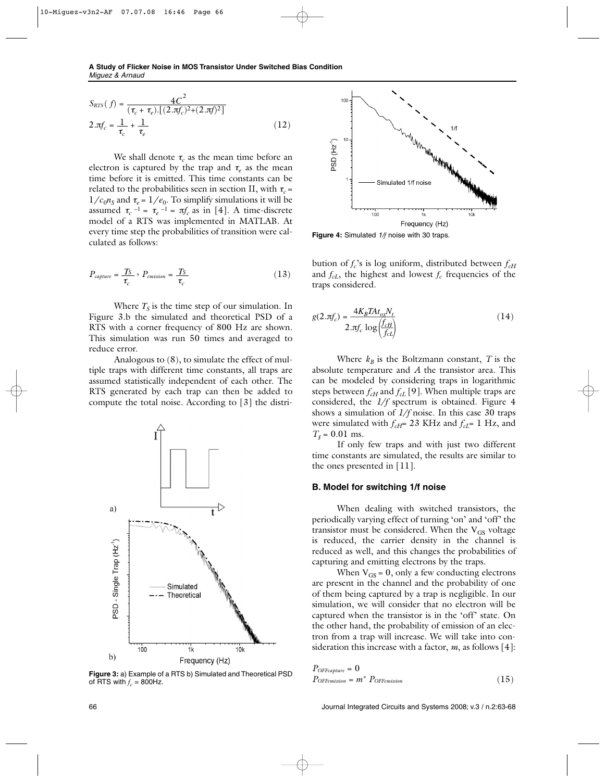$$
S_{RTS}(f) = \frac{4C^2}{(\tau_c + \tau_e) \cdot [(2 \cdot \pi f_c)^2 + (2 \cdot \pi f)^2]}
$$
  
2.  $\pi f_c = \frac{1}{\tau_c} + \frac{1}{\tau_e}$  (12)

We shall denote  $\tau_c$  as the mean time before an electron is captured by the trap and  $\tau_e$  as the mean time before it is emitted. This time constants can be related to the probabilities seen in section II, with  $\tau_c$  =  $1/c_0 n_s$  and  $\tau_e = 1/e_0$ . To simplify simulations it will be assumed  $\tau_c$ <sup>-1</sup> =  $\tau_e$ <sup>-1</sup> =  $\pi f_c$  as in [4]. A time-discrete model of a RTS was implemented in MATLAB. At every time step the probabilities of transition were calculated as follows:

$$
P_{capture} = \frac{T_S}{\tau_c}, \ P_{emission} = \frac{T_S}{\tau_c}
$$
 (13)

Where  $T<sub>S</sub>$  is the time step of our simulation. In Figure 3.b the simulated and theoretical PSD of a RTS with a corner frequency of 800 Hz are shown. This simulation was run 50 times and averaged to reduce error.

Analogous to (8), to simulate the effect of multiple traps with different time constants, all traps are assumed statistically independent of each other. The RTS generated by each trap can then be added to compute the total noise. According to [3] the distri-



of RTS with  $f_c = 800$ Hz.



**Figure 4:** Simulated *1/f* noise with 30 traps.

bution of  $f_c$ 's is log uniform, distributed between  $f_{cH}$ and  $f_{cL}$ , the highest and lowest  $f_c$  frequencies of the traps considered.

$$
g(2.\pi f_c) = \frac{4K_B T A t_{ox} N_t}{2.\pi f_c \log \left(\frac{f_{cH}}{f_{cL}}\right)}\tag{14}
$$

Where  $k_B$  is the Boltzmann constant, *T* is the absolute temperature and *A* the transistor area. This can be modeled by considering traps in logarithmic steps between  $f<sub>cf</sub>$  and  $f<sub>cf</sub>$  [9]. When multiple traps are considered, the *1/f* spectrum is obtained. Figure 4 shows a simulation of *1/f* noise. In this case 30 traps were simulated with  $f_{cH}$ = 23 KHz and  $f_{cL}$ = 1 Hz, and  $T_s = 0.01$  ms.

If only few traps and with just two different time constants are simulated, the results are similar to the ones presented in [11].

# **B. Model for switching 1/f noise**

When dealing with switched transistors, the periodically varying effect of turning 'on' and 'off' the transistor must be considered. When the  $V_{GS}$  voltage is reduced, the carrier density in the channel is reduced as well, and this changes the probabilities of capturing and emitting electrons by the traps.

When  $V_{GS} = 0$ , only a few conducting electrons are present in the channel and the probability of one of them being captured by a trap is negligible. In our simulation, we will consider that no electron will be captured when the transistor is in the 'off' state. On the other hand, the probability of emission of an electron from a trap will increase. We will take into consideration this increase with a factor, *m*, as follows [4]:

 $P_{OFFcapture} = 0$ **Figure 3:** a) Example of a RTS b) Simulated and Theoretical PSD<br>  $P_{OFFemision} = m^* P_{OFFemission}$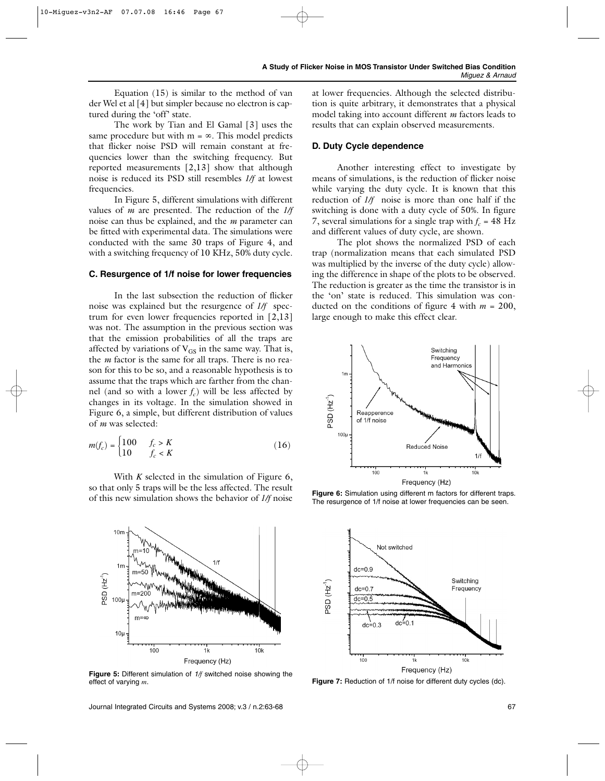Equation (15) is similar to the method of van der Wel et al [4] but simpler because no electron is captured during the 'off' state.

The work by Tian and El Gamal [3] uses the same procedure but with  $m = \infty$ . This model predicts that flicker noise PSD will remain constant at frequencies lower than the switching frequency. But reported measurements [2,13] show that although noise is reduced its PSD still resembles *1/f* at lowest frequencies.

In Figure 5, different simulations with different values of *m* are presented. The reduction of the *1/f* noise can thus be explained, and the *m* parameter can be fitted with experimental data. The simulations were conducted with the same 30 traps of Figure 4, and with a switching frequency of 10 KHz, 50% duty cycle.

#### **C. Resurgence of 1/f noise for lower frequencies**

In the last subsection the reduction of flicker noise was explained but the resurgence of *1/f* spectrum for even lower frequencies reported in [2,13] was not. The assumption in the previous section was that the emission probabilities of all the traps are affected by variations of  $V_{GS}$  in the same way. That is, the *m* factor is the same for all traps. There is no reason for this to be so, and a reasonable hypothesis is to assume that the traps which are farther from the channel (and so with a lower  $f_c$ ) will be less affected by changes in its voltage. In the simulation showed in Figure 6, a simple, but different distribution of values of *m* was selected:

$$
m(f_c) = \begin{cases} 100 & f_c > K \\ 10 & f_c < K \end{cases} \tag{16}
$$

With *K* selected in the simulation of Figure 6, so that only 5 traps will be the less affected. The result of this new simulation shows the behavior of *1/f* noise



**Figure 5:** Different simulation of *1/f* switched noise showing the effect of varying *m*.

Journal Integrated Circuits and Systems 2008; v.3 / n.2:63-68 67 67 67 67 68 67 68 67 68 67 68 67 68 67 68 67 6

at lower frequencies. Although the selected distribution is quite arbitrary, it demonstrates that a physical model taking into account different *m* factors leads to results that can explain observed measurements.

## **D. Duty Cycle dependence**

Another interesting effect to investigate by means of simulations, is the reduction of flicker noise while varying the duty cycle. It is known that this reduction of *1/f* noise is more than one half if the switching is done with a duty cycle of 50%. In figure 7, several simulations for a single trap with  $f_c = 48$  Hz and different values of duty cycle, are shown.

The plot shows the normalized PSD of each trap (normalization means that each simulated PSD was multiplied by the inverse of the duty cycle) allowing the difference in shape of the plots to be observed. The reduction is greater as the time the transistor is in the 'on' state is reduced. This simulation was conducted on the conditions of figure 4 with  $m = 200$ , large enough to make this effect clear.



Figure 6: Simulation using different m factors for different traps. The resurgence of 1/f noise at lower frequencies can be seen.



**Figure 7:** Reduction of 1/f noise for different duty cycles (dc).